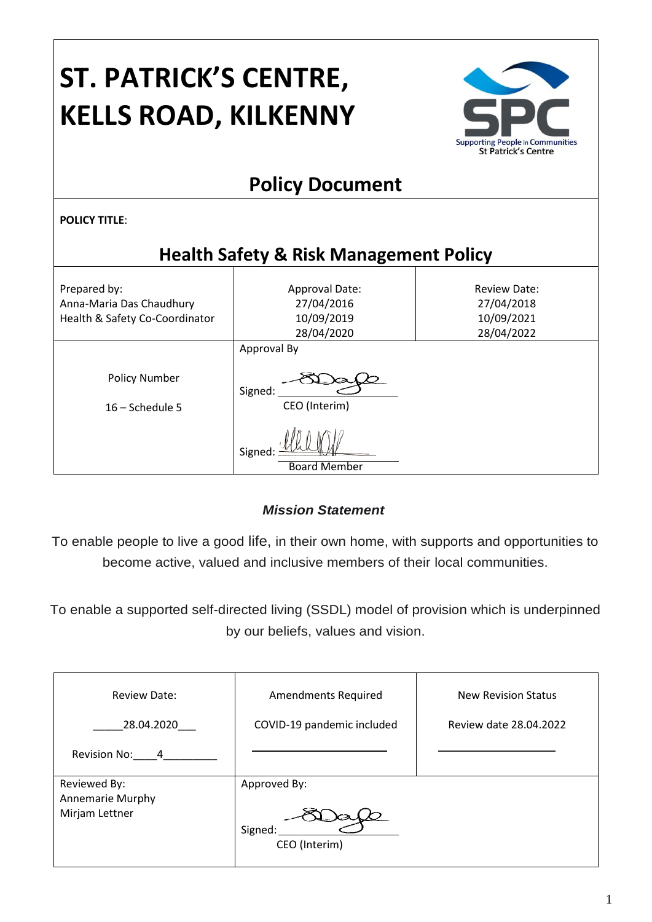# **ST. PATRICK'S CENTRE, KELLS ROAD, KILKENNY**



# **Policy Document**

**POLICY TITLE**:

# **Health Safety & Risk Management Policy**

| Prepared by:<br>Anna-Maria Das Chaudhury<br>Health & Safety Co-Coordinator | Approval Date:<br><b>Review Date:</b><br>27/04/2016<br>27/04/2018<br>10/09/2019<br>10/09/2021<br>28/04/2020<br>28/04/2022 |  |  |  |  |
|----------------------------------------------------------------------------|---------------------------------------------------------------------------------------------------------------------------|--|--|--|--|
|                                                                            | Approval By                                                                                                               |  |  |  |  |
| <b>Policy Number</b>                                                       | Signed:                                                                                                                   |  |  |  |  |
| $16 -$ Schedule 5                                                          | CEO (Interim)                                                                                                             |  |  |  |  |
|                                                                            | Signed<br><b>Board Member</b>                                                                                             |  |  |  |  |

#### *Mission Statement*

To enable people to live a good life, in their own home, with supports and opportunities to become active, valued and inclusive members of their local communities.

To enable a supported self-directed living (SSDL) model of provision which is underpinned by our beliefs, values and vision.

| <b>Review Date:</b>                                       | <b>Amendments Required</b>               | <b>New Revision Status</b> |
|-----------------------------------------------------------|------------------------------------------|----------------------------|
| 28.04.2020                                                | COVID-19 pandemic included               | Review date 28.04.2022     |
| Revision No:<br>$\overline{4}$                            |                                          |                            |
| Reviewed By:<br><b>Annemarie Murphy</b><br>Mirjam Lettner | Approved By:<br>Signed:<br>CEO (Interim) |                            |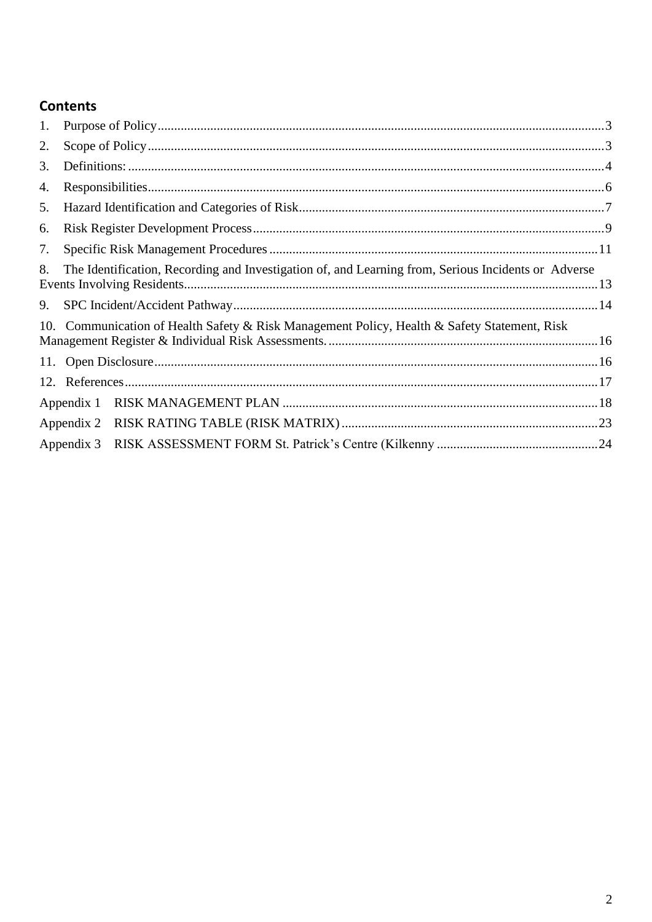### **Contents**

| 1. |            |                                                                                                     |  |
|----|------------|-----------------------------------------------------------------------------------------------------|--|
| 2. |            |                                                                                                     |  |
| 3. |            |                                                                                                     |  |
| 4. |            |                                                                                                     |  |
| 5. |            |                                                                                                     |  |
| 6. |            |                                                                                                     |  |
| 7. |            |                                                                                                     |  |
| 8. |            | The Identification, Recording and Investigation of, and Learning from, Serious Incidents or Adverse |  |
| 9. |            |                                                                                                     |  |
|    |            | 10. Communication of Health Safety & Risk Management Policy, Health & Safety Statement, Risk        |  |
|    |            |                                                                                                     |  |
|    |            |                                                                                                     |  |
|    | Appendix 1 |                                                                                                     |  |
|    |            |                                                                                                     |  |
|    | Appendix 3 |                                                                                                     |  |
|    |            |                                                                                                     |  |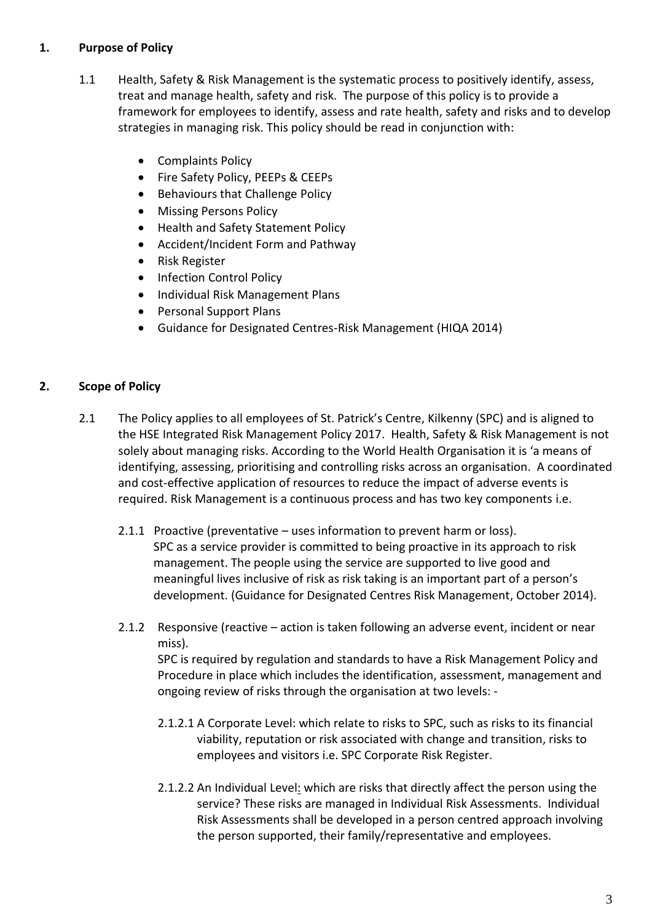#### <span id="page-2-0"></span>**1. Purpose of Policy**

- 1.1 Health, Safety & Risk Management is the systematic process to positively identify, assess, treat and manage health, safety and risk. The purpose of this policy is to provide a framework for employees to identify, assess and rate health, safety and risks and to develop strategies in managing risk. This policy should be read in conjunction with:
	- Complaints Policy
	- Fire Safety Policy, PEEPs & CEEPs
	- Behaviours that Challenge Policy
	- Missing Persons Policy
	- Health and Safety Statement Policy
	- Accident/Incident Form and Pathway
	- Risk Register
	- Infection Control Policy
	- Individual Risk Management Plans
	- Personal Support Plans
	- Guidance for Designated Centres-Risk Management (HIQA 2014)

#### <span id="page-2-1"></span>**2. Scope of Policy**

- 2.1 The Policy applies to all employees of St. Patrick's Centre, Kilkenny (SPC) and is aligned to the HSE Integrated Risk Management Policy 2017. Health, Safety & Risk Management is not solely about managing risks. According to the World Health Organisation it is 'a means of identifying, assessing, prioritising and controlling risks across an organisation. A coordinated and cost-effective application of resources to reduce the impact of adverse events is required. Risk Management is a continuous process and has two key components i.e.
	- 2.1.1 Proactive (preventative uses information to prevent harm or loss). SPC as a service provider is committed to being proactive in its approach to risk management. The people using the service are supported to live good and meaningful lives inclusive of risk as risk taking is an important part of a person's development. (Guidance for Designated Centres Risk Management, October 2014).
	- 2.1.2 Responsive (reactive action is taken following an adverse event, incident or near miss).

SPC is required by regulation and standards to have a Risk Management Policy and Procedure in place which includes the identification, assessment, management and ongoing review of risks through the organisation at two levels: -

- 2.1.2.1 A Corporate Level: which relate to risks to SPC, such as risks to its financial viability, reputation or risk associated with change and transition, risks to employees and visitors i.e. SPC Corporate Risk Register.
- 2.1.2.2 An Individual Level: which are risks that directly affect the person using the service? These risks are managed in Individual Risk Assessments. Individual Risk Assessments shall be developed in a person centred approach involving the person supported, their family/representative and employees.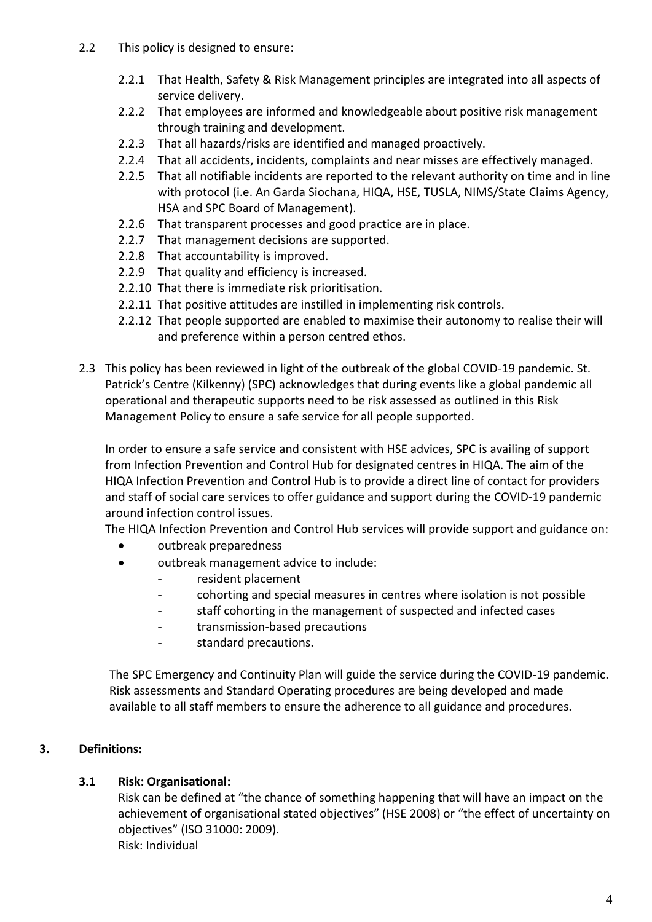- 2.2 This policy is designed to ensure:
	- 2.2.1 That Health, Safety & Risk Management principles are integrated into all aspects of service delivery.
	- 2.2.2 That employees are informed and knowledgeable about positive risk management through training and development.
	- 2.2.3 That all hazards/risks are identified and managed proactively.
	- 2.2.4 That all accidents, incidents, complaints and near misses are effectively managed.
	- 2.2.5 That all notifiable incidents are reported to the relevant authority on time and in line with protocol (i.e. An Garda Siochana, HIQA, HSE, TUSLA, NIMS/State Claims Agency, HSA and SPC Board of Management).
	- 2.2.6 That transparent processes and good practice are in place.
	- 2.2.7 That management decisions are supported.
	- 2.2.8 That accountability is improved.
	- 2.2.9 That quality and efficiency is increased.
	- 2.2.10 That there is immediate risk prioritisation.
	- 2.2.11 That positive attitudes are instilled in implementing risk controls.
	- 2.2.12 That people supported are enabled to maximise their autonomy to realise their will and preference within a person centred ethos.
- 2.3 This policy has been reviewed in light of the outbreak of the global COVID-19 pandemic. St. Patrick's Centre (Kilkenny) (SPC) acknowledges that during events like a global pandemic all operational and therapeutic supports need to be risk assessed as outlined in this Risk Management Policy to ensure a safe service for all people supported.

In order to ensure a safe service and consistent with HSE advices, SPC is availing of support from Infection Prevention and Control Hub for designated centres in HIQA. The aim of the HIQA Infection Prevention and Control Hub is to provide a direct line of contact for providers and staff of social care services to offer guidance and support during the COVID-19 pandemic around infection control issues.

The HIQA Infection Prevention and Control Hub services will provide support and guidance on:

- outbreak preparedness
- outbreak management advice to include:
	- resident placement
	- cohorting and special measures in centres where isolation is not possible
	- staff cohorting in the management of suspected and infected cases
	- transmission-based precautions
	- standard precautions.

The SPC Emergency and Continuity Plan will guide the service during the COVID-19 pandemic. Risk assessments and Standard Operating procedures are being developed and made available to all staff members to ensure the adherence to all guidance and procedures.

#### <span id="page-3-0"></span>**3. Definitions:**

#### **3.1 Risk: Organisational:**

Risk can be defined at "the chance of something happening that will have an impact on the achievement of organisational stated objectives" (HSE 2008) or "the effect of uncertainty on objectives" (ISO 31000: 2009). Risk: Individual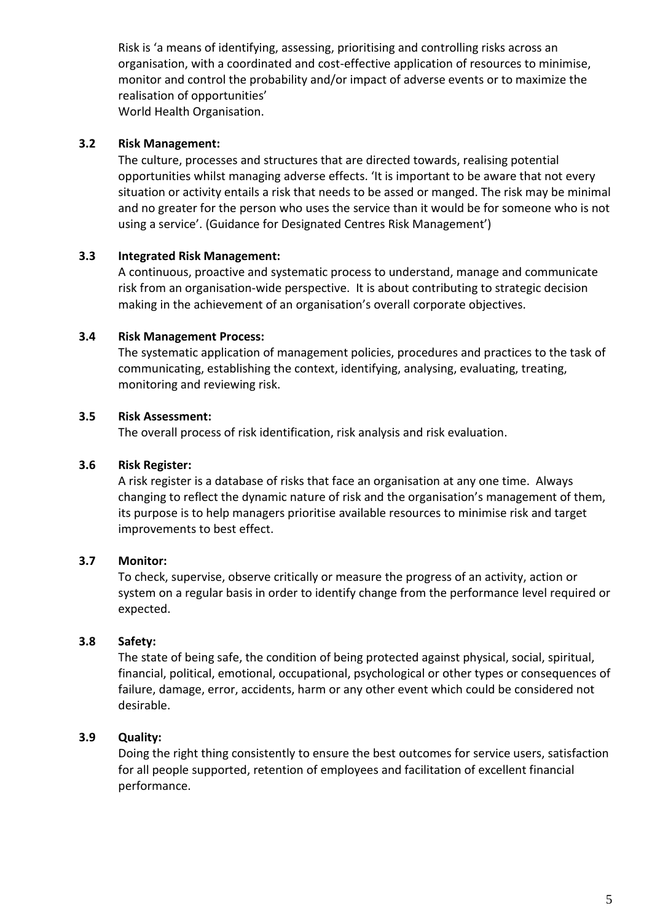Risk is 'a means of identifying, assessing, prioritising and controlling risks across an organisation, with a coordinated and cost-effective application of resources to minimise, monitor and control the probability and/or impact of adverse events or to maximize the realisation of opportunities' World Health Organisation.

#### **3.2 Risk Management:**

The culture, processes and structures that are directed towards, realising potential opportunities whilst managing adverse effects. 'It is important to be aware that not every situation or activity entails a risk that needs to be assed or manged. The risk may be minimal and no greater for the person who uses the service than it would be for someone who is not using a service'. (Guidance for Designated Centres Risk Management')

#### **3.3 Integrated Risk Management:**

A continuous, proactive and systematic process to understand, manage and communicate risk from an organisation-wide perspective. It is about contributing to strategic decision making in the achievement of an organisation's overall corporate objectives.

#### **3.4 Risk Management Process:**

The systematic application of management policies, procedures and practices to the task of communicating, establishing the context, identifying, analysing, evaluating, treating, monitoring and reviewing risk.

#### **3.5 Risk Assessment:**

The overall process of risk identification, risk analysis and risk evaluation.

#### **3.6 Risk Register:**

A risk register is a database of risks that face an organisation at any one time. Always changing to reflect the dynamic nature of risk and the organisation's management of them, its purpose is to help managers prioritise available resources to minimise risk and target improvements to best effect.

#### **3.7 Monitor:**

To check, supervise, observe critically or measure the progress of an activity, action or system on a regular basis in order to identify change from the performance level required or expected.

#### **3.8 Safety:**

The state of being safe, the condition of being protected against physical, social, spiritual, financial, political, emotional, occupational, psychological or other types or consequences of failure, damage, error, accidents, harm or any other event which could be considered not desirable.

#### **3.9 Quality:**

Doing the right thing consistently to ensure the best outcomes for service users, satisfaction for all people supported, retention of employees and facilitation of excellent financial performance.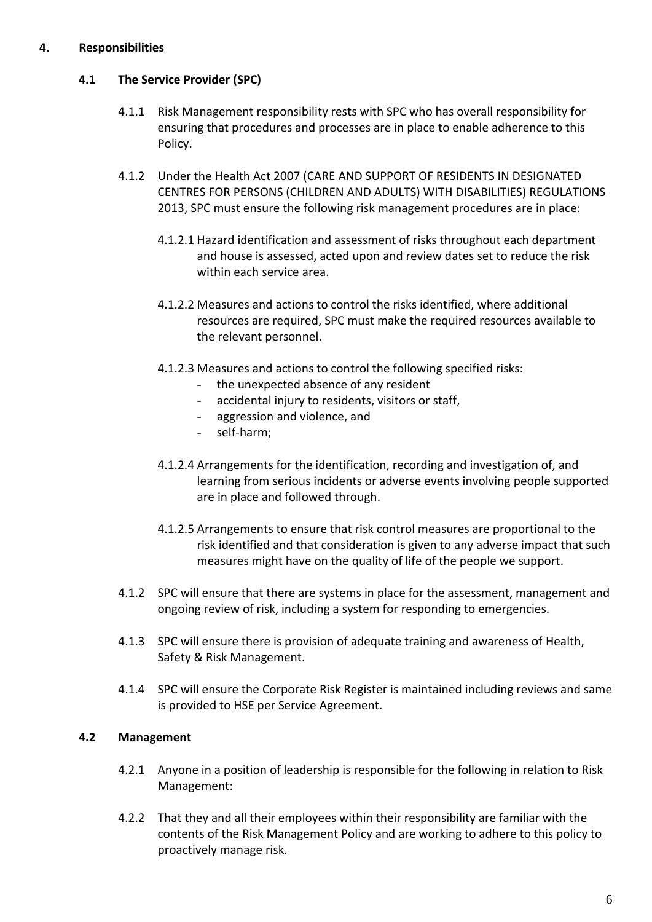#### <span id="page-5-0"></span>**4. Responsibilities**

#### **4.1 The Service Provider (SPC)**

- 4.1.1 Risk Management responsibility rests with SPC who has overall responsibility for ensuring that procedures and processes are in place to enable adherence to this Policy.
- 4.1.2 Under the Health Act 2007 (CARE AND SUPPORT OF RESIDENTS IN DESIGNATED CENTRES FOR PERSONS (CHILDREN AND ADULTS) WITH DISABILITIES) REGULATIONS 2013, SPC must ensure the following risk management procedures are in place:
	- 4.1.2.1 Hazard identification and assessment of risks throughout each department and house is assessed, acted upon and review dates set to reduce the risk within each service area.
	- 4.1.2.2 Measures and actions to control the risks identified, where additional resources are required, SPC must make the required resources available to the relevant personnel.
	- 4.1.2.3 Measures and actions to control the following specified risks:
		- the unexpected absence of any resident
		- accidental injury to residents, visitors or staff,
		- aggression and violence, and
		- self-harm;
	- 4.1.2.4 Arrangements for the identification, recording and investigation of, and learning from serious incidents or adverse events involving people supported are in place and followed through.
	- 4.1.2.5 Arrangements to ensure that risk control measures are proportional to the risk identified and that consideration is given to any adverse impact that such measures might have on the quality of life of the people we support.
- 4.1.2 SPC will ensure that there are systems in place for the assessment, management and ongoing review of risk, including a system for responding to emergencies.
- 4.1.3 SPC will ensure there is provision of adequate training and awareness of Health, Safety & Risk Management.
- 4.1.4 SPC will ensure the Corporate Risk Register is maintained including reviews and same is provided to HSE per Service Agreement.

#### **4.2 Management**

- 4.2.1 Anyone in a position of leadership is responsible for the following in relation to Risk Management:
- 4.2.2 That they and all their employees within their responsibility are familiar with the contents of the Risk Management Policy and are working to adhere to this policy to proactively manage risk.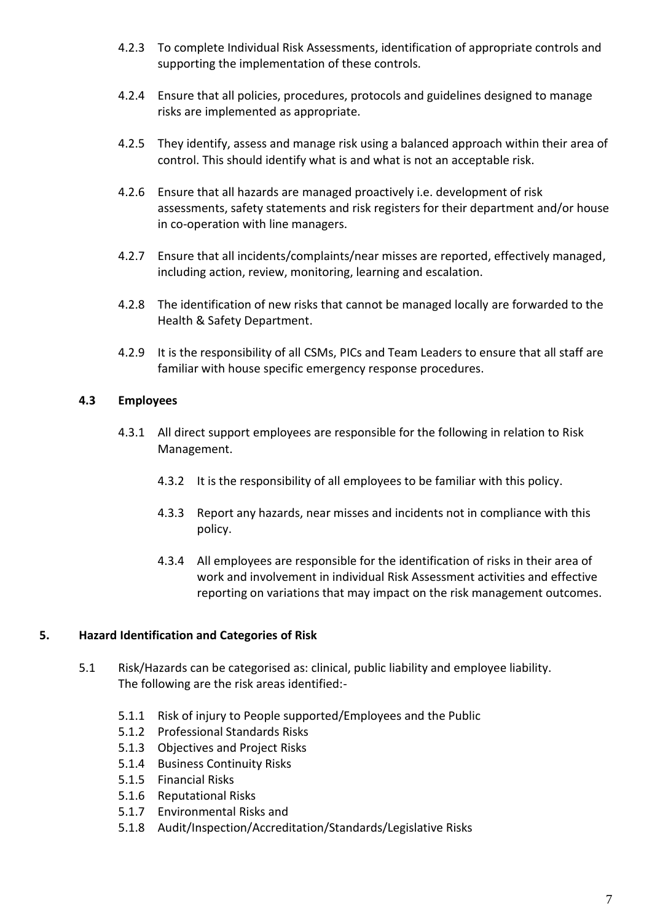- 4.2.3 To complete Individual Risk Assessments, identification of appropriate controls and supporting the implementation of these controls.
- 4.2.4 Ensure that all policies, procedures, protocols and guidelines designed to manage risks are implemented as appropriate.
- 4.2.5 They identify, assess and manage risk using a balanced approach within their area of control. This should identify what is and what is not an acceptable risk.
- 4.2.6 Ensure that all hazards are managed proactively i.e. development of risk assessments, safety statements and risk registers for their department and/or house in co-operation with line managers.
- 4.2.7 Ensure that all incidents/complaints/near misses are reported, effectively managed, including action, review, monitoring, learning and escalation.
- 4.2.8 The identification of new risks that cannot be managed locally are forwarded to the Health & Safety Department.
- 4.2.9 It is the responsibility of all CSMs, PICs and Team Leaders to ensure that all staff are familiar with house specific emergency response procedures.

#### **4.3 Employees**

- 4.3.1 All direct support employees are responsible for the following in relation to Risk Management.
	- 4.3.2 It is the responsibility of all employees to be familiar with this policy.
	- 4.3.3 Report any hazards, near misses and incidents not in compliance with this policy.
	- 4.3.4 All employees are responsible for the identification of risks in their area of work and involvement in individual Risk Assessment activities and effective reporting on variations that may impact on the risk management outcomes.

#### <span id="page-6-0"></span>**5. Hazard Identification and Categories of Risk**

- 5.1 Risk/Hazards can be categorised as: clinical, public liability and employee liability. The following are the risk areas identified:-
	- 5.1.1 Risk of injury to People supported/Employees and the Public
	- 5.1.2 Professional Standards Risks
	- 5.1.3 Objectives and Project Risks
	- 5.1.4 Business Continuity Risks
	- 5.1.5 Financial Risks
	- 5.1.6 Reputational Risks
	- 5.1.7 Environmental Risks and
	- 5.1.8 Audit/Inspection/Accreditation/Standards/Legislative Risks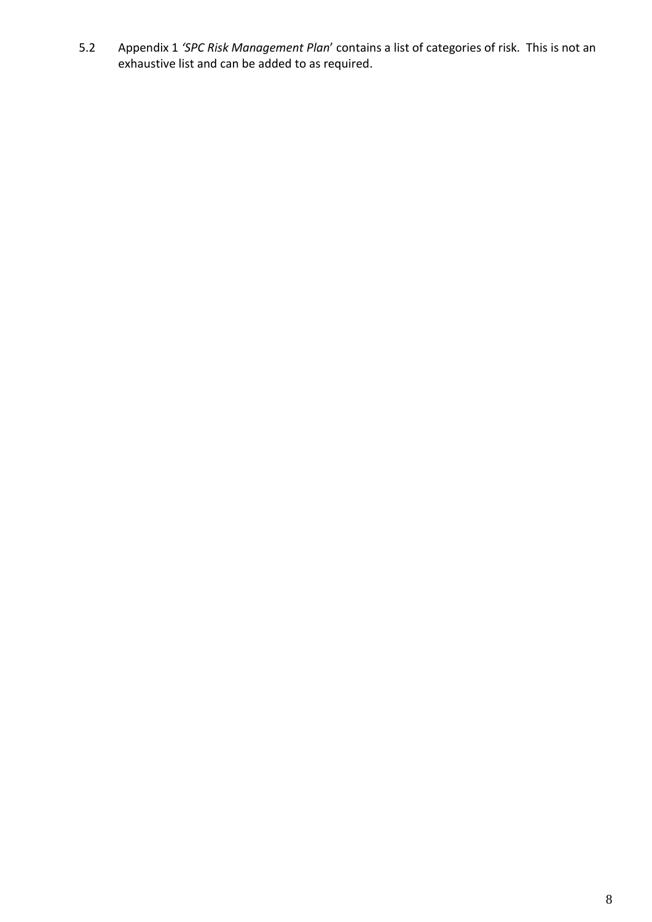5.2 Appendix 1 *'SPC Risk Management Plan*' contains a list of categories of risk. This is not an exhaustive list and can be added to as required.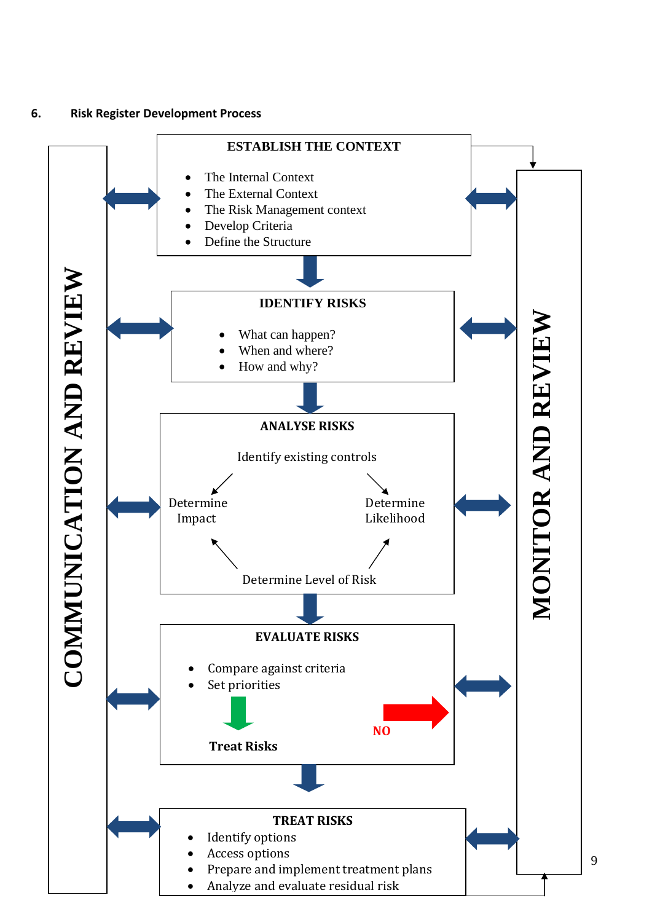<span id="page-8-0"></span>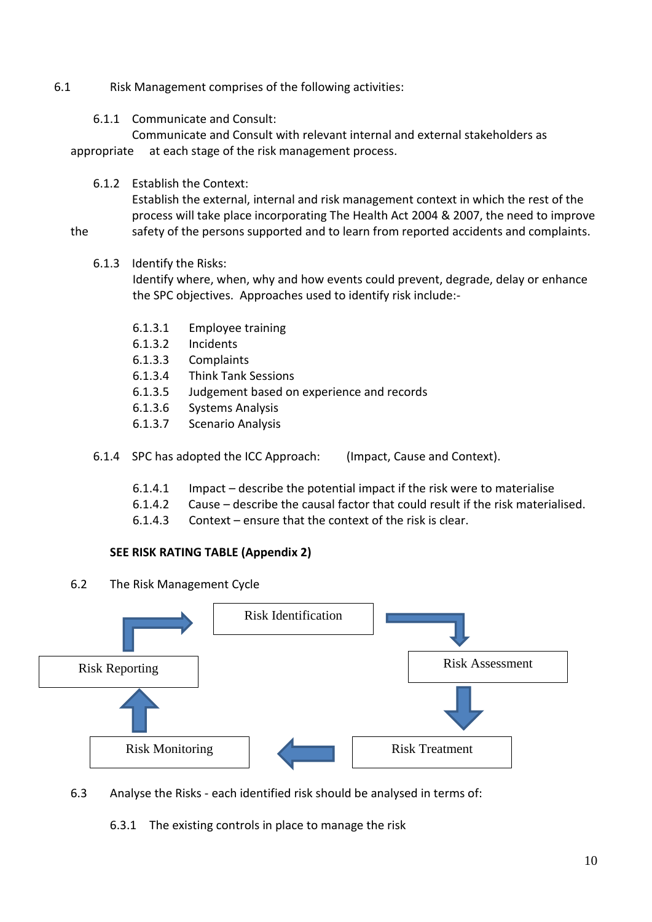#### 6.1 Risk Management comprises of the following activities:

#### 6.1.1 Communicate and Consult:

Communicate and Consult with relevant internal and external stakeholders as appropriate at each stage of the risk management process.

6.1.2 Establish the Context:

Establish the external, internal and risk management context in which the rest of the process will take place incorporating The Health Act 2004 & 2007, the need to improve

the safety of the persons supported and to learn from reported accidents and complaints.

#### 6.1.3 Identify the Risks:

Identify where, when, why and how events could prevent, degrade, delay or enhance the SPC objectives. Approaches used to identify risk include:-

- 6.1.3.1 Employee training
- 6.1.3.2 Incidents
- 6.1.3.3 Complaints
- 6.1.3.4 Think Tank Sessions
- 6.1.3.5 Judgement based on experience and records
- 6.1.3.6 Systems Analysis
- 6.1.3.7 Scenario Analysis
- 6.1.4 SPC has adopted the ICC Approach: (Impact, Cause and Context).
	- 6.1.4.1 Impact describe the potential impact if the risk were to materialise
	- 6.1.4.2 Cause describe the causal factor that could result if the risk materialised.
	- 6.1.4.3 Context ensure that the context of the risk is clear.

#### **SEE RISK RATING TABLE (Appendix 2)**

6.2 The Risk Management Cycle



6.3 Analyse the Risks - each identified risk should be analysed in terms of:

6.3.1 The existing controls in place to manage the risk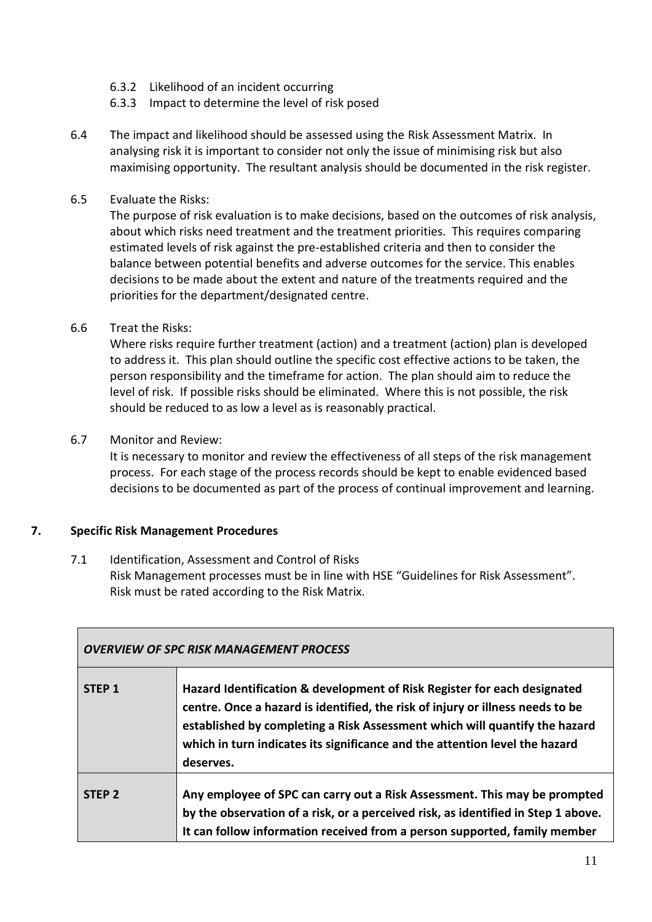- 6.3.2 Likelihood of an incident occurring
- 6.3.3 Impact to determine the level of risk posed
- 6.4 The impact and likelihood should be assessed using the Risk Assessment Matrix. In analysing risk it is important to consider not only the issue of minimising risk but also maximising opportunity. The resultant analysis should be documented in the risk register.
- 6.5 Evaluate the Risks:

The purpose of risk evaluation is to make decisions, based on the outcomes of risk analysis, about which risks need treatment and the treatment priorities. This requires comparing estimated levels of risk against the pre-established criteria and then to consider the balance between potential benefits and adverse outcomes for the service. This enables decisions to be made about the extent and nature of the treatments required and the priorities for the department/designated centre.

6.6 Treat the Risks:

Where risks require further treatment (action) and a treatment (action) plan is developed to address it. This plan should outline the specific cost effective actions to be taken, the person responsibility and the timeframe for action. The plan should aim to reduce the level of risk. If possible risks should be eliminated. Where this is not possible, the risk should be reduced to as low a level as is reasonably practical.

6.7 Monitor and Review:

It is necessary to monitor and review the effectiveness of all steps of the risk management process. For each stage of the process records should be kept to enable evidenced based decisions to be documented as part of the process of continual improvement and learning.

#### <span id="page-10-0"></span>**7. Specific Risk Management Procedures**

7.1 Identification, Assessment and Control of Risks Risk Management processes must be in line with HSE "Guidelines for Risk Assessment". Risk must be rated according to the Risk Matrix.

| <b>OVERVIEW OF SPC RISK MANAGEMENT PROCESS</b> |                                                                                                                                                                                                                                                                                                                                      |  |  |  |  |  |  |  |
|------------------------------------------------|--------------------------------------------------------------------------------------------------------------------------------------------------------------------------------------------------------------------------------------------------------------------------------------------------------------------------------------|--|--|--|--|--|--|--|
| STEP <sub>1</sub>                              | Hazard Identification & development of Risk Register for each designated<br>centre. Once a hazard is identified, the risk of injury or illness needs to be<br>established by completing a Risk Assessment which will quantify the hazard<br>which in turn indicates its significance and the attention level the hazard<br>deserves. |  |  |  |  |  |  |  |
| STFP <sub>2</sub>                              | Any employee of SPC can carry out a Risk Assessment. This may be prompted<br>by the observation of a risk, or a perceived risk, as identified in Step 1 above.<br>It can follow information received from a person supported, family member                                                                                          |  |  |  |  |  |  |  |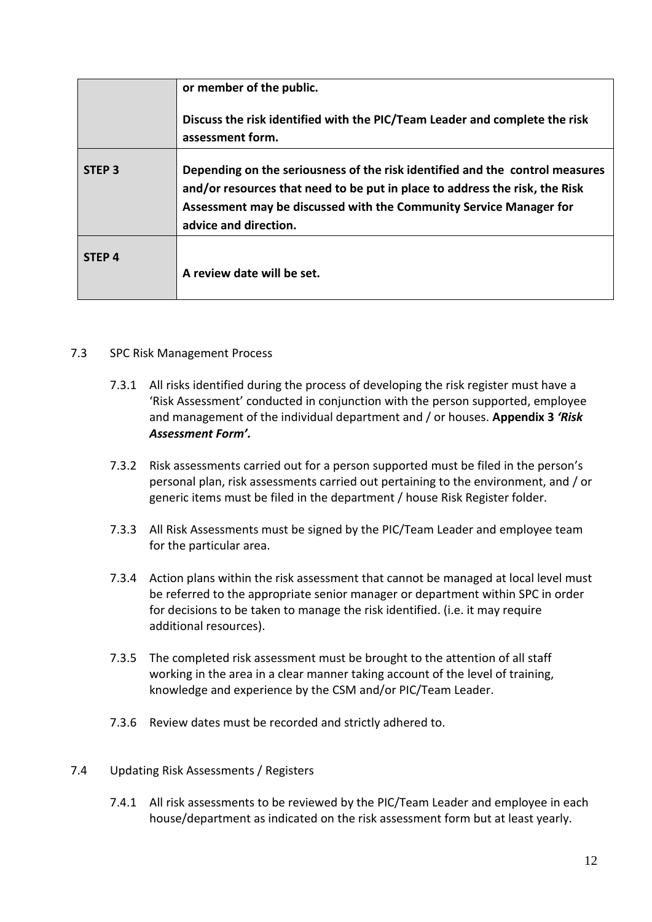|                   | or member of the public.                                                                                                                                                                                                                                   |
|-------------------|------------------------------------------------------------------------------------------------------------------------------------------------------------------------------------------------------------------------------------------------------------|
|                   | Discuss the risk identified with the PIC/Team Leader and complete the risk<br>assessment form.                                                                                                                                                             |
| STEP <sub>3</sub> | Depending on the seriousness of the risk identified and the control measures<br>and/or resources that need to be put in place to address the risk, the Risk<br>Assessment may be discussed with the Community Service Manager for<br>advice and direction. |
| STEP <sub>4</sub> | A review date will be set.                                                                                                                                                                                                                                 |

#### 7.3 SPC Risk Management Process

- 7.3.1 All risks identified during the process of developing the risk register must have a 'Risk Assessment' conducted in conjunction with the person supported, employee and management of the individual department and / or houses. **Appendix 3** *'Risk Assessment Form'.*
- 7.3.2 Risk assessments carried out for a person supported must be filed in the person's personal plan, risk assessments carried out pertaining to the environment, and / or generic items must be filed in the department / house Risk Register folder.
- 7.3.3 All Risk Assessments must be signed by the PIC/Team Leader and employee team for the particular area.
- 7.3.4 Action plans within the risk assessment that cannot be managed at local level must be referred to the appropriate senior manager or department within SPC in order for decisions to be taken to manage the risk identified. (i.e. it may require additional resources).
- 7.3.5 The completed risk assessment must be brought to the attention of all staff working in the area in a clear manner taking account of the level of training, knowledge and experience by the CSM and/or PIC/Team Leader.
- 7.3.6 Review dates must be recorded and strictly adhered to.

#### 7.4 Updating Risk Assessments / Registers

7.4.1 All risk assessments to be reviewed by the PIC/Team Leader and employee in each house/department as indicated on the risk assessment form but at least yearly.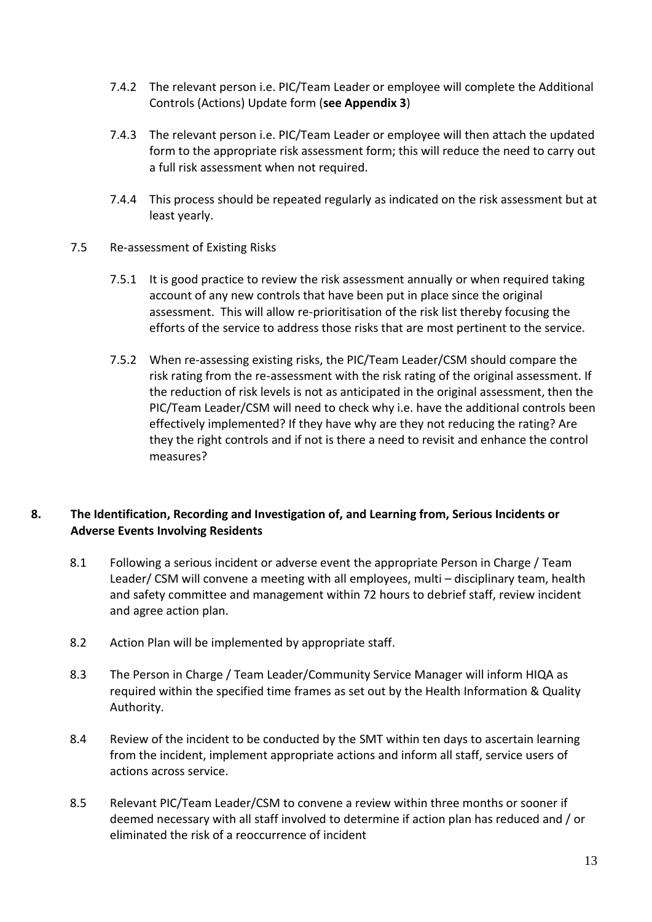- 7.4.2 The relevant person i.e. PIC/Team Leader or employee will complete the Additional Controls (Actions) Update form (**see Appendix 3**)
- 7.4.3 The relevant person i.e. PIC/Team Leader or employee will then attach the updated form to the appropriate risk assessment form; this will reduce the need to carry out a full risk assessment when not required.
- 7.4.4 This process should be repeated regularly as indicated on the risk assessment but at least yearly.
- 7.5 Re-assessment of Existing Risks
	- 7.5.1 It is good practice to review the risk assessment annually or when required taking account of any new controls that have been put in place since the original assessment. This will allow re-prioritisation of the risk list thereby focusing the efforts of the service to address those risks that are most pertinent to the service.
	- 7.5.2 When re-assessing existing risks, the PIC/Team Leader/CSM should compare the risk rating from the re-assessment with the risk rating of the original assessment. If the reduction of risk levels is not as anticipated in the original assessment, then the PIC/Team Leader/CSM will need to check why i.e. have the additional controls been effectively implemented? If they have why are they not reducing the rating? Are they the right controls and if not is there a need to revisit and enhance the control measures?

#### <span id="page-12-0"></span>**8. The Identification, Recording and Investigation of, and Learning from, Serious Incidents or Adverse Events Involving Residents**

- 8.1 Following a serious incident or adverse event the appropriate Person in Charge / Team Leader/ CSM will convene a meeting with all employees, multi – disciplinary team, health and safety committee and management within 72 hours to debrief staff, review incident and agree action plan.
- 8.2 Action Plan will be implemented by appropriate staff.
- 8.3 The Person in Charge / Team Leader/Community Service Manager will inform HIQA as required within the specified time frames as set out by the Health Information & Quality Authority.
- 8.4 Review of the incident to be conducted by the SMT within ten days to ascertain learning from the incident, implement appropriate actions and inform all staff, service users of actions across service.
- 8.5 Relevant PIC/Team Leader/CSM to convene a review within three months or sooner if deemed necessary with all staff involved to determine if action plan has reduced and / or eliminated the risk of a reoccurrence of incident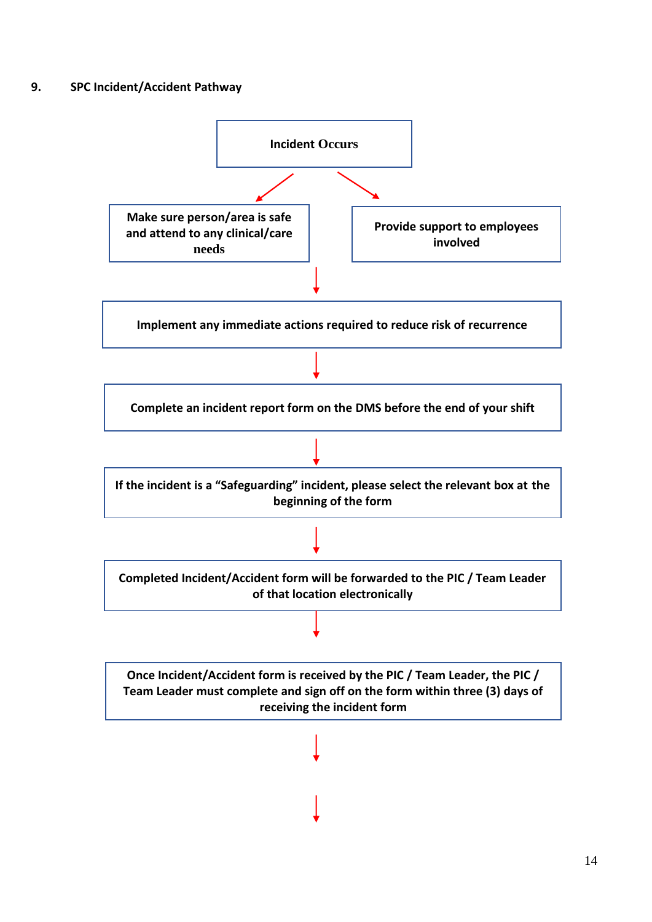#### <span id="page-13-0"></span>**9. SPC Incident/Accident Pathway**

![](_page_13_Figure_1.jpeg)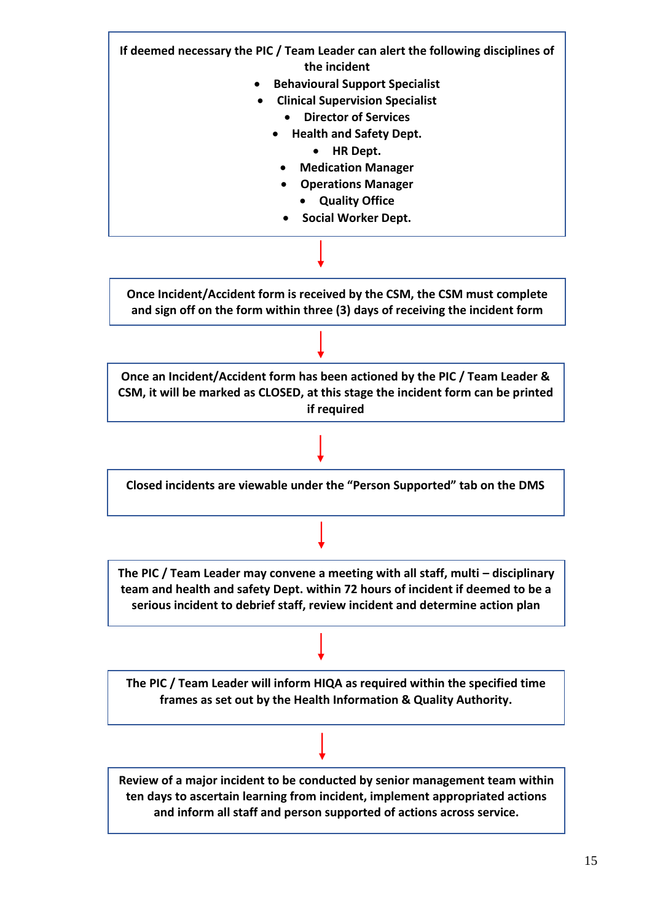![](_page_14_Figure_0.jpeg)

15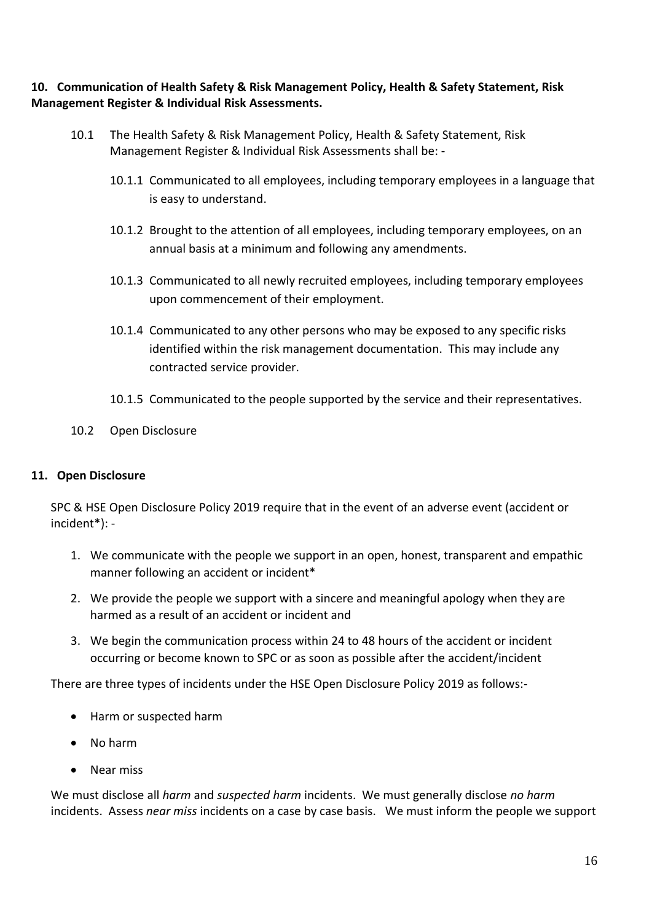#### <span id="page-15-0"></span>**10. Communication of Health Safety & Risk Management Policy, Health & Safety Statement, Risk Management Register & Individual Risk Assessments.**

- 10.1 The Health Safety & Risk Management Policy, Health & Safety Statement, Risk Management Register & Individual Risk Assessments shall be: -
	- 10.1.1 Communicated to all employees, including temporary employees in a language that is easy to understand.
	- 10.1.2 Brought to the attention of all employees, including temporary employees, on an annual basis at a minimum and following any amendments.
	- 10.1.3 Communicated to all newly recruited employees, including temporary employees upon commencement of their employment.
	- 10.1.4 Communicated to any other persons who may be exposed to any specific risks identified within the risk management documentation. This may include any contracted service provider.
	- 10.1.5 Communicated to the people supported by the service and their representatives.
- 10.2 Open Disclosure

#### <span id="page-15-1"></span>**11. Open Disclosure**

SPC & HSE Open Disclosure Policy 2019 require that in the event of an adverse event (accident or incident\*): -

- 1. We communicate with the people we support in an open, honest, transparent and empathic manner following an accident or incident\*
- 2. We provide the people we support with a sincere and meaningful apology when they are harmed as a result of an accident or incident and
- 3. We begin the communication process within 24 to 48 hours of the accident or incident occurring or become known to SPC or as soon as possible after the accident/incident

There are three types of incidents under the HSE Open Disclosure Policy 2019 as follows:-

- Harm or suspected harm
- No harm
- Near miss

We must disclose all *harm* and *suspected harm* incidents. We must generally disclose *no harm* incidents. Assess *near miss* incidents on a case by case basis. We must inform the people we support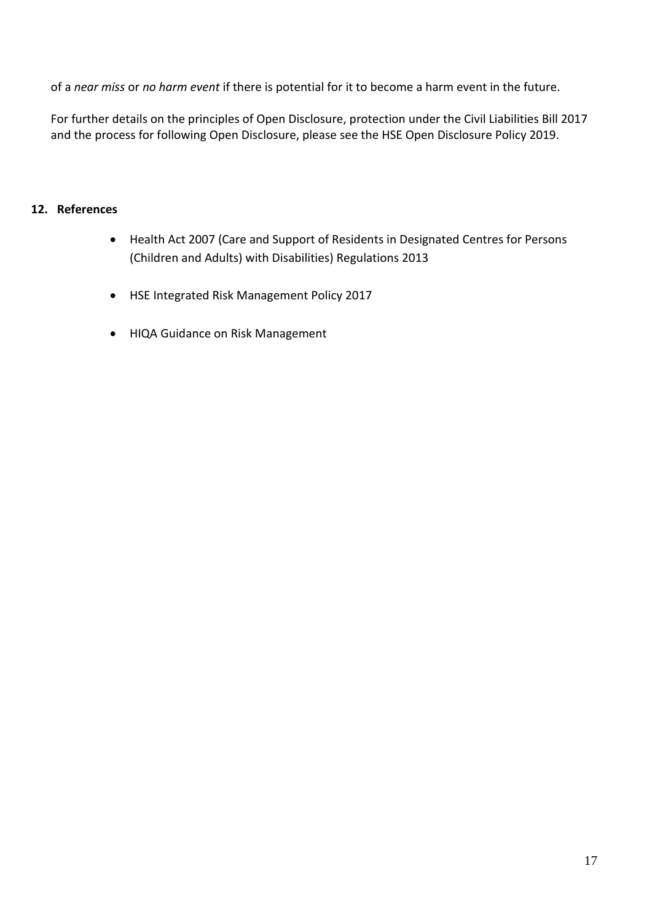of a *near miss* or *no harm event* if there is potential for it to become a harm event in the future.

For further details on the principles of Open Disclosure, protection under the Civil Liabilities Bill 2017 and the process for following Open Disclosure, please see the HSE Open Disclosure Policy 2019.

#### <span id="page-16-0"></span>**12. References**

- Health Act 2007 (Care and Support of Residents in Designated Centres for Persons (Children and Adults) with Disabilities) Regulations 2013
- HSE Integrated Risk Management Policy 2017
- HIQA Guidance on Risk Management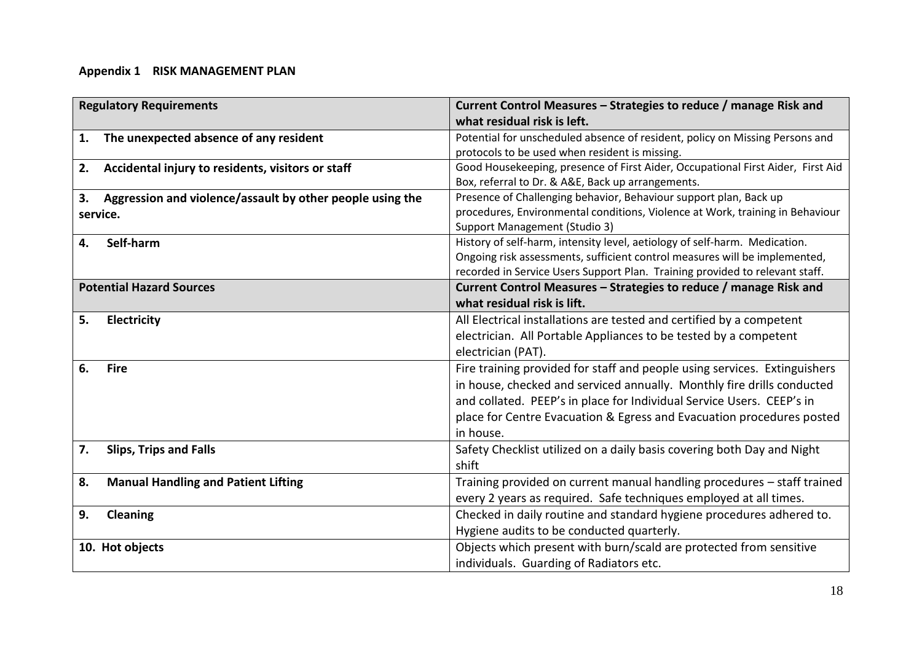#### **Appendix 1 RISK MANAGEMENT PLAN**

<span id="page-17-0"></span>

| <b>Regulatory Requirements</b><br>what residual risk is left.   | Current Control Measures - Strategies to reduce / manage Risk and               |
|-----------------------------------------------------------------|---------------------------------------------------------------------------------|
| The unexpected absence of any resident<br>1.                    | Potential for unscheduled absence of resident, policy on Missing Persons and    |
| protocols to be used when resident is missing.                  |                                                                                 |
| Accidental injury to residents, visitors or staff<br>2.         | Good Housekeeping, presence of First Aider, Occupational First Aider, First Aid |
| Box, referral to Dr. & A&E, Back up arrangements.               |                                                                                 |
| Aggression and violence/assault by other people using the<br>3. | Presence of Challenging behavior, Behaviour support plan, Back up               |
| service.                                                        | procedures, Environmental conditions, Violence at Work, training in Behaviour   |
| Support Management (Studio 3)                                   |                                                                                 |
| Self-harm<br>4.                                                 | History of self-harm, intensity level, aetiology of self-harm. Medication.      |
|                                                                 | Ongoing risk assessments, sufficient control measures will be implemented,      |
|                                                                 | recorded in Service Users Support Plan. Training provided to relevant staff.    |
| <b>Potential Hazard Sources</b>                                 | Current Control Measures - Strategies to reduce / manage Risk and               |
| what residual risk is lift.                                     |                                                                                 |
| 5.<br>Electricity                                               | All Electrical installations are tested and certified by a competent            |
|                                                                 | electrician. All Portable Appliances to be tested by a competent                |
| electrician (PAT).                                              |                                                                                 |
| 6.<br><b>Fire</b>                                               | Fire training provided for staff and people using services. Extinguishers       |
|                                                                 | in house, checked and serviced annually. Monthly fire drills conducted          |
|                                                                 | and collated. PEEP's in place for Individual Service Users. CEEP's in           |
|                                                                 | place for Centre Evacuation & Egress and Evacuation procedures posted           |
| in house.                                                       |                                                                                 |
| <b>Slips, Trips and Falls</b><br>7.                             | Safety Checklist utilized on a daily basis covering both Day and Night          |
| shift                                                           |                                                                                 |
| <b>Manual Handling and Patient Lifting</b><br>8.                | Training provided on current manual handling procedures - staff trained         |
|                                                                 | every 2 years as required. Safe techniques employed at all times.               |
| Cleaning<br>9.                                                  | Checked in daily routine and standard hygiene procedures adhered to.            |
| Hygiene audits to be conducted quarterly.                       |                                                                                 |
| 10. Hot objects                                                 | Objects which present with burn/scald are protected from sensitive              |
| individuals. Guarding of Radiators etc.                         |                                                                                 |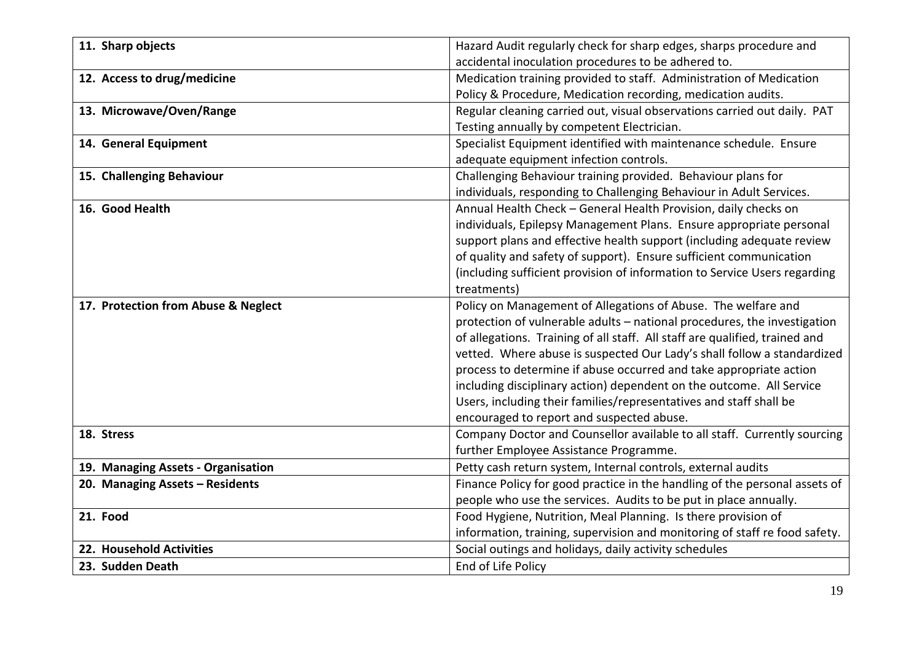| 11. Sharp objects                   | Hazard Audit regularly check for sharp edges, sharps procedure and          |
|-------------------------------------|-----------------------------------------------------------------------------|
|                                     | accidental inoculation procedures to be adhered to.                         |
| 12. Access to drug/medicine         | Medication training provided to staff. Administration of Medication         |
|                                     | Policy & Procedure, Medication recording, medication audits.                |
| 13. Microwave/Oven/Range            | Regular cleaning carried out, visual observations carried out daily. PAT    |
|                                     | Testing annually by competent Electrician.                                  |
| 14. General Equipment               | Specialist Equipment identified with maintenance schedule. Ensure           |
|                                     | adequate equipment infection controls.                                      |
| 15. Challenging Behaviour           | Challenging Behaviour training provided. Behaviour plans for                |
|                                     | individuals, responding to Challenging Behaviour in Adult Services.         |
| 16. Good Health                     | Annual Health Check - General Health Provision, daily checks on             |
|                                     | individuals, Epilepsy Management Plans. Ensure appropriate personal         |
|                                     | support plans and effective health support (including adequate review       |
|                                     | of quality and safety of support). Ensure sufficient communication          |
|                                     | (including sufficient provision of information to Service Users regarding   |
|                                     | treatments)                                                                 |
| 17. Protection from Abuse & Neglect | Policy on Management of Allegations of Abuse. The welfare and               |
|                                     | protection of vulnerable adults - national procedures, the investigation    |
|                                     | of allegations. Training of all staff. All staff are qualified, trained and |
|                                     | vetted. Where abuse is suspected Our Lady's shall follow a standardized     |
|                                     | process to determine if abuse occurred and take appropriate action          |
|                                     | including disciplinary action) dependent on the outcome. All Service        |
|                                     | Users, including their families/representatives and staff shall be          |
|                                     | encouraged to report and suspected abuse.                                   |
| 18. Stress                          | Company Doctor and Counsellor available to all staff. Currently sourcing    |
|                                     | further Employee Assistance Programme.                                      |
| 19. Managing Assets - Organisation  | Petty cash return system, Internal controls, external audits                |
| 20. Managing Assets - Residents     | Finance Policy for good practice in the handling of the personal assets of  |
|                                     | people who use the services. Audits to be put in place annually.            |
| 21. Food                            | Food Hygiene, Nutrition, Meal Planning. Is there provision of               |
|                                     | information, training, supervision and monitoring of staff re food safety.  |
| 22. Household Activities            | Social outings and holidays, daily activity schedules                       |
| 23. Sudden Death                    | End of Life Policy                                                          |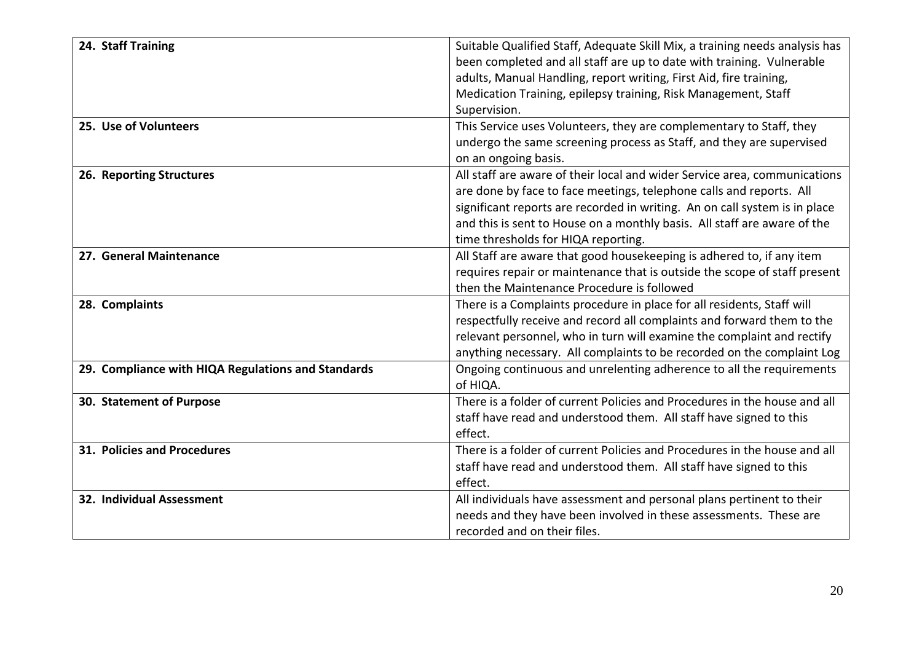| 24. Staff Training                                 | Suitable Qualified Staff, Adequate Skill Mix, a training needs analysis has |
|----------------------------------------------------|-----------------------------------------------------------------------------|
|                                                    | been completed and all staff are up to date with training. Vulnerable       |
|                                                    | adults, Manual Handling, report writing, First Aid, fire training,          |
|                                                    | Medication Training, epilepsy training, Risk Management, Staff              |
|                                                    | Supervision.                                                                |
| 25. Use of Volunteers                              | This Service uses Volunteers, they are complementary to Staff, they         |
|                                                    | undergo the same screening process as Staff, and they are supervised        |
|                                                    | on an ongoing basis.                                                        |
| 26. Reporting Structures                           | All staff are aware of their local and wider Service area, communications   |
|                                                    | are done by face to face meetings, telephone calls and reports. All         |
|                                                    | significant reports are recorded in writing. An on call system is in place  |
|                                                    | and this is sent to House on a monthly basis. All staff are aware of the    |
|                                                    | time thresholds for HIQA reporting.                                         |
| 27. General Maintenance                            | All Staff are aware that good housekeeping is adhered to, if any item       |
|                                                    | requires repair or maintenance that is outside the scope of staff present   |
|                                                    | then the Maintenance Procedure is followed                                  |
| 28. Complaints                                     | There is a Complaints procedure in place for all residents, Staff will      |
|                                                    | respectfully receive and record all complaints and forward them to the      |
|                                                    | relevant personnel, who in turn will examine the complaint and rectify      |
|                                                    | anything necessary. All complaints to be recorded on the complaint Log      |
| 29. Compliance with HIQA Regulations and Standards | Ongoing continuous and unrelenting adherence to all the requirements        |
|                                                    | of HIQA.                                                                    |
| 30. Statement of Purpose                           | There is a folder of current Policies and Procedures in the house and all   |
|                                                    | staff have read and understood them. All staff have signed to this          |
|                                                    | effect.                                                                     |
| 31. Policies and Procedures                        | There is a folder of current Policies and Procedures in the house and all   |
|                                                    | staff have read and understood them. All staff have signed to this          |
|                                                    | effect.                                                                     |
| 32. Individual Assessment                          | All individuals have assessment and personal plans pertinent to their       |
|                                                    | needs and they have been involved in these assessments. These are           |
|                                                    | recorded and on their files.                                                |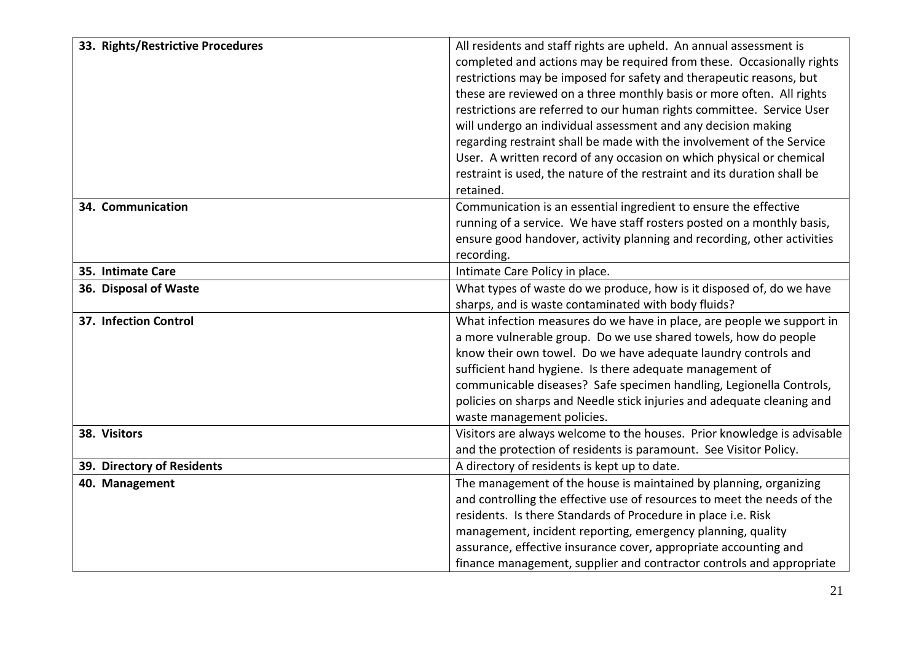| 33. Rights/Restrictive Procedures | All residents and staff rights are upheld. An annual assessment is       |
|-----------------------------------|--------------------------------------------------------------------------|
|                                   | completed and actions may be required from these. Occasionally rights    |
|                                   | restrictions may be imposed for safety and therapeutic reasons, but      |
|                                   | these are reviewed on a three monthly basis or more often. All rights    |
|                                   | restrictions are referred to our human rights committee. Service User    |
|                                   | will undergo an individual assessment and any decision making            |
|                                   | regarding restraint shall be made with the involvement of the Service    |
|                                   | User. A written record of any occasion on which physical or chemical     |
|                                   | restraint is used, the nature of the restraint and its duration shall be |
|                                   | retained.                                                                |
| 34. Communication                 | Communication is an essential ingredient to ensure the effective         |
|                                   | running of a service. We have staff rosters posted on a monthly basis,   |
|                                   | ensure good handover, activity planning and recording, other activities  |
|                                   | recording.                                                               |
| 35. Intimate Care                 | Intimate Care Policy in place.                                           |
| 36. Disposal of Waste             | What types of waste do we produce, how is it disposed of, do we have     |
|                                   | sharps, and is waste contaminated with body fluids?                      |
| 37. Infection Control             | What infection measures do we have in place, are people we support in    |
|                                   | a more vulnerable group. Do we use shared towels, how do people          |
|                                   | know their own towel. Do we have adequate laundry controls and           |
|                                   | sufficient hand hygiene. Is there adequate management of                 |
|                                   | communicable diseases? Safe specimen handling, Legionella Controls,      |
|                                   | policies on sharps and Needle stick injuries and adequate cleaning and   |
|                                   | waste management policies.                                               |
| 38. Visitors                      | Visitors are always welcome to the houses. Prior knowledge is advisable  |
|                                   | and the protection of residents is paramount. See Visitor Policy.        |
| 39. Directory of Residents        | A directory of residents is kept up to date.                             |
| 40. Management                    | The management of the house is maintained by planning, organizing        |
|                                   | and controlling the effective use of resources to meet the needs of the  |
|                                   | residents. Is there Standards of Procedure in place i.e. Risk            |
|                                   | management, incident reporting, emergency planning, quality              |
|                                   | assurance, effective insurance cover, appropriate accounting and         |
|                                   | finance management, supplier and contractor controls and appropriate     |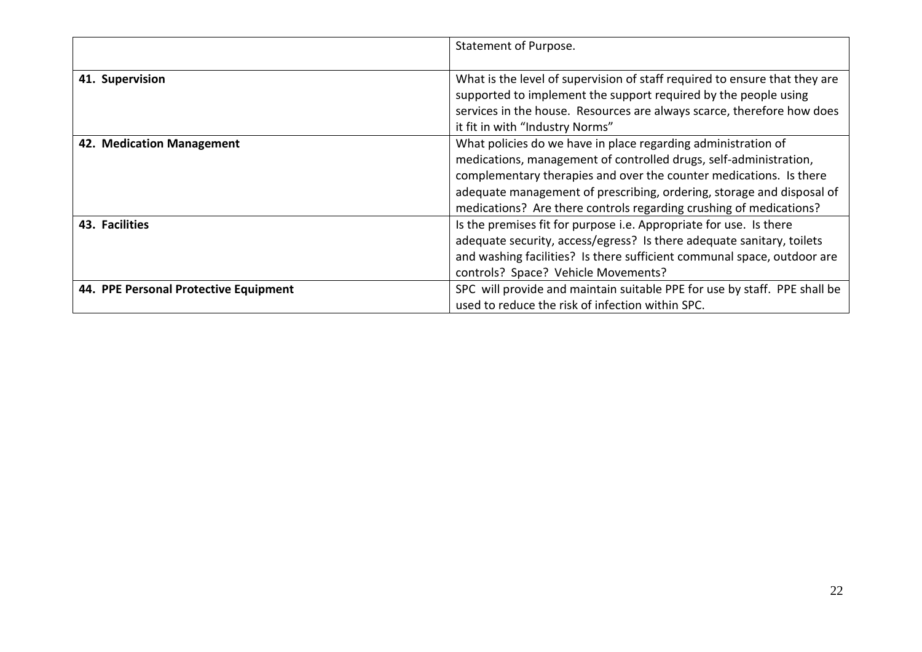|                                       | Statement of Purpose.                                                      |
|---------------------------------------|----------------------------------------------------------------------------|
|                                       |                                                                            |
| 41. Supervision                       | What is the level of supervision of staff required to ensure that they are |
|                                       | supported to implement the support required by the people using            |
|                                       | services in the house. Resources are always scarce, therefore how does     |
|                                       | it fit in with "Industry Norms"                                            |
| 42. Medication Management             | What policies do we have in place regarding administration of              |
|                                       | medications, management of controlled drugs, self-administration,          |
|                                       | complementary therapies and over the counter medications. Is there         |
|                                       | adequate management of prescribing, ordering, storage and disposal of      |
|                                       | medications? Are there controls regarding crushing of medications?         |
| 43. Facilities                        | Is the premises fit for purpose i.e. Appropriate for use. Is there         |
|                                       | adequate security, access/egress? Is there adequate sanitary, toilets      |
|                                       | and washing facilities? Is there sufficient communal space, outdoor are    |
|                                       | controls? Space? Vehicle Movements?                                        |
| 44. PPE Personal Protective Equipment | SPC will provide and maintain suitable PPE for use by staff. PPE shall be  |
|                                       | used to reduce the risk of infection within SPC.                           |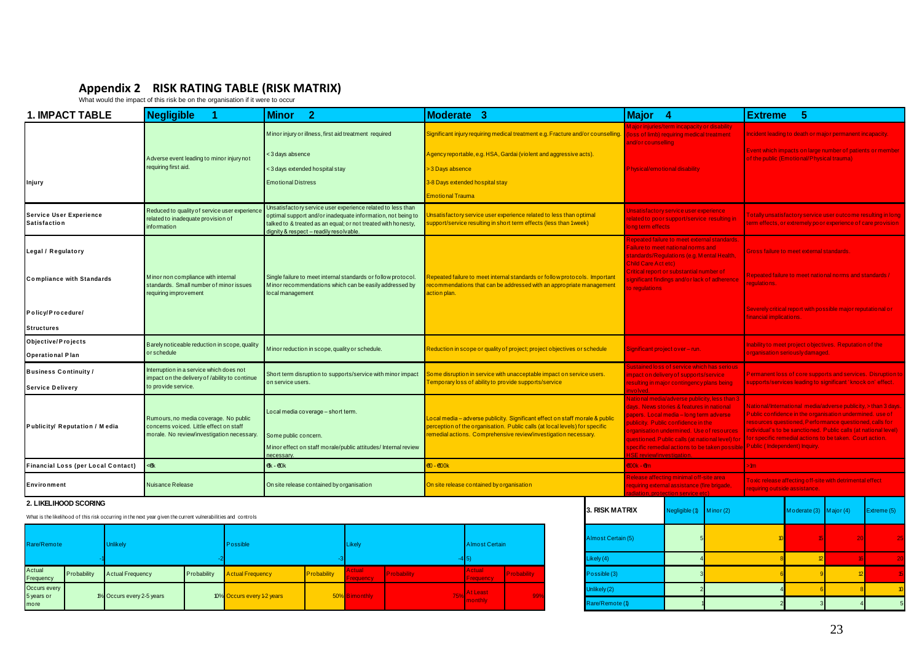# **Appendix 2 RISK RATING TABLE (RISK MATRIX)** What would the impact of this risk be on the organisation if it were to occur

|                                                                                                               | Appendix 2 RISK RATING TABLE (RISK MATRIX)<br>What would the impact of this risk be on the organisation if it were to occur    |                                                                                                                                                                                                                                        |                                                                                                                                                                                                                                |                                                                                                                                                                                                                                                                                                                                                                                                    |                                                                                                                                         |                                                                                                                                  |                                                                                                                                                                                                                                                                                                                             |                                                                                                                             |                                                              |  |                                                             |
|---------------------------------------------------------------------------------------------------------------|--------------------------------------------------------------------------------------------------------------------------------|----------------------------------------------------------------------------------------------------------------------------------------------------------------------------------------------------------------------------------------|--------------------------------------------------------------------------------------------------------------------------------------------------------------------------------------------------------------------------------|----------------------------------------------------------------------------------------------------------------------------------------------------------------------------------------------------------------------------------------------------------------------------------------------------------------------------------------------------------------------------------------------------|-----------------------------------------------------------------------------------------------------------------------------------------|----------------------------------------------------------------------------------------------------------------------------------|-----------------------------------------------------------------------------------------------------------------------------------------------------------------------------------------------------------------------------------------------------------------------------------------------------------------------------|-----------------------------------------------------------------------------------------------------------------------------|--------------------------------------------------------------|--|-------------------------------------------------------------|
| <b>1. IMPACT TABLE</b>                                                                                        | <b>Negligible</b>                                                                                                              | <b>Minor</b><br>$\overline{2}$                                                                                                                                                                                                         | Moderate 3                                                                                                                                                                                                                     |                                                                                                                                                                                                                                                                                                                                                                                                    | Major 4                                                                                                                                 |                                                                                                                                  |                                                                                                                                                                                                                                                                                                                             | <b>Extreme</b>                                                                                                              | -5                                                           |  |                                                             |
|                                                                                                               |                                                                                                                                | Minor injury or illness, first aid treatment required                                                                                                                                                                                  | Significant injury requiring medical treatment e.g. Fracture and/or counselling. (loss of limb) requiring medical treatment                                                                                                    | and/or counselling                                                                                                                                                                                                                                                                                                                                                                                 | Major injuries/term incapacity or disability                                                                                            |                                                                                                                                  | ncident leading to death or major permanent incapacity.                                                                                                                                                                                                                                                                     |                                                                                                                             |                                                              |  |                                                             |
|                                                                                                               | A dverse event leading to minor injury not                                                                                     | < 3 days absence                                                                                                                                                                                                                       | Agency reportable, e.g. HSA, Gardai (violent and aggressive acts).                                                                                                                                                             |                                                                                                                                                                                                                                                                                                                                                                                                    |                                                                                                                                         |                                                                                                                                  |                                                                                                                                                                                                                                                                                                                             |                                                                                                                             | of the public (Emotional/Physical trauma)                    |  | Event which impacts on large number of patients or member   |
|                                                                                                               | requiring first aid.                                                                                                           | < 3 days extended ho spital stay                                                                                                                                                                                                       | > 3 Days absence                                                                                                                                                                                                               |                                                                                                                                                                                                                                                                                                                                                                                                    | Physical/emotional disability                                                                                                           |                                                                                                                                  |                                                                                                                                                                                                                                                                                                                             |                                                                                                                             |                                                              |  |                                                             |
| Injury                                                                                                        |                                                                                                                                | <b>Emotional Distress</b>                                                                                                                                                                                                              | 3-8 Days extended hospital stay                                                                                                                                                                                                |                                                                                                                                                                                                                                                                                                                                                                                                    |                                                                                                                                         |                                                                                                                                  |                                                                                                                                                                                                                                                                                                                             |                                                                                                                             |                                                              |  |                                                             |
|                                                                                                               |                                                                                                                                |                                                                                                                                                                                                                                        | <b>Emotional Trauma</b>                                                                                                                                                                                                        |                                                                                                                                                                                                                                                                                                                                                                                                    |                                                                                                                                         |                                                                                                                                  |                                                                                                                                                                                                                                                                                                                             |                                                                                                                             |                                                              |  |                                                             |
| <b>Service User Experience</b><br><b>Satisfaction</b>                                                         | Reduced to quality of service user experience<br>related to inadequate provision of<br>information                             | Unsatisfactory service user experience related to less than<br>optimal support and/or inadequate information, not being to<br>talked to & treated as an equal; or not treated with honesty,<br>lignity & respect - readily resolvable. | Insatisfactory service user experience related to less than optimal<br>upport/service resulting in short term effects (less than 1week)                                                                                        |                                                                                                                                                                                                                                                                                                                                                                                                    | long term effects                                                                                                                       | Unsatisfactory service user experience<br>related to poor support/service resulting in                                           |                                                                                                                                                                                                                                                                                                                             | otally unsatisfactory service user outcome resulting in long<br>erm effects, or extremely poor experience of care provision |                                                              |  |                                                             |
| Legal / Regulatory                                                                                            |                                                                                                                                |                                                                                                                                                                                                                                        |                                                                                                                                                                                                                                |                                                                                                                                                                                                                                                                                                                                                                                                    |                                                                                                                                         | Repeated failure to meet external standards.<br>Failure to meet national norms and<br>standards/Regulations (e.g. Mental Health, |                                                                                                                                                                                                                                                                                                                             |                                                                                                                             | <b>Bross failure to meet external standards</b>              |  |                                                             |
| <b>Compliance with Standards</b>                                                                              | Minor non compliance with internal<br>standards. Small number of minor issues<br>requiring improvement                         | Single failure to meet internal standards or follow protocol.<br>Minor recommendations which can be easily addressed by<br>local management                                                                                            | Repeated failure to meet internal standards or follow protocols. Important<br>recommendations that can be addressed with an appropriate management<br>action plan.                                                             |                                                                                                                                                                                                                                                                                                                                                                                                    | <b>Child Care Act etc)</b><br>Critical report or substantial number of<br>ignificant findings and/or lack of adherence<br>o regulations |                                                                                                                                  | Repeated failure to meet national norms and standards /<br>equlations.                                                                                                                                                                                                                                                      |                                                                                                                             |                                                              |  |                                                             |
| Policy/Procedure/                                                                                             |                                                                                                                                |                                                                                                                                                                                                                                        |                                                                                                                                                                                                                                |                                                                                                                                                                                                                                                                                                                                                                                                    |                                                                                                                                         |                                                                                                                                  |                                                                                                                                                                                                                                                                                                                             | inancial implications.                                                                                                      | Severely critical report with possible major reputational or |  |                                                             |
| <b>Structures</b>                                                                                             |                                                                                                                                |                                                                                                                                                                                                                                        |                                                                                                                                                                                                                                |                                                                                                                                                                                                                                                                                                                                                                                                    |                                                                                                                                         |                                                                                                                                  |                                                                                                                                                                                                                                                                                                                             |                                                                                                                             |                                                              |  |                                                             |
| Objective/Projects                                                                                            | Barely noticeable reduction in scope, quality                                                                                  | Minor reduction in scope, quality or schedule.                                                                                                                                                                                         | Reduction in scope or quality of project; project objectives or schedule                                                                                                                                                       |                                                                                                                                                                                                                                                                                                                                                                                                    | Significant project over - run.                                                                                                         |                                                                                                                                  | nability to meet project objectives. Reputation of the                                                                                                                                                                                                                                                                      |                                                                                                                             |                                                              |  |                                                             |
| <b>Operational Plan</b>                                                                                       | or schedule                                                                                                                    |                                                                                                                                                                                                                                        |                                                                                                                                                                                                                                |                                                                                                                                                                                                                                                                                                                                                                                                    |                                                                                                                                         |                                                                                                                                  |                                                                                                                                                                                                                                                                                                                             |                                                                                                                             | rganisation seriously damaged.                               |  |                                                             |
| <b>Business Continuity/</b>                                                                                   | Interruption in a service which does not<br>mpact on the delivery of /ability to continue                                      | Short term disruption to supports/service with minor impact                                                                                                                                                                            | ome disruption in service with unacceptable impact on service users.                                                                                                                                                           |                                                                                                                                                                                                                                                                                                                                                                                                    |                                                                                                                                         | ustained loss of service which has serious<br>mpact on delivery of supports/service_                                             |                                                                                                                                                                                                                                                                                                                             |                                                                                                                             |                                                              |  | Permanent loss of core supports and services. Disruption to |
| <b>Service Delivery</b>                                                                                       | o provide service.                                                                                                             | on service users.                                                                                                                                                                                                                      | Temporary loss of ability to provide supports/service                                                                                                                                                                          |                                                                                                                                                                                                                                                                                                                                                                                                    |                                                                                                                                         | resulting in major contingency plans being                                                                                       |                                                                                                                                                                                                                                                                                                                             | upports/services leading to significant 'knock on' effect.                                                                  |                                                              |  |                                                             |
| Publicity/ Reputation / Media                                                                                 | Rumours, no media coverage. No public<br>concerns voiced. Little effect on staff<br>morale. No review/investigation necessary. | Local media coverage - short term.<br>Some public concern.<br>Minor effect on staff morale/public attitudes/ Internal review<br><b>ACASSAN</b>                                                                                         | Local media - adverse publicity. Significant effect on staff morale & public<br>perception of the organisation. Public calls (at local levels) for specific<br>remedial actions. Comprehensive review/investigation necessary. | National media/adverse publicity, less than 3<br>days. News stories & features in national<br>papers. Local media – long term adverse.<br>publicity. Public confidence in the<br>organisation undermined. Use of resources<br>questioned. Public calls (at national level) for<br>specific remedial actions to be taken possible Public (Independent) Inquiry.<br><u>ISE review/investigation.</u> |                                                                                                                                         |                                                                                                                                  | <u> Vational/International_media/adverse publicity, &gt; than 3 days.</u><br>ublic confidence in the organisation undermined, use of<br>esources questioned, Performance questioned, calls for<br>ndividual's to be sanctioned. Public calls (at national level)<br>or specific remedial actions to be taken. Court action. |                                                                                                                             |                                                              |  |                                                             |
| <b>Financial Loss (per Local Contact)</b>                                                                     | <€k                                                                                                                            | $4k - 40k$                                                                                                                                                                                                                             | €10 - €100 k                                                                                                                                                                                                                   |                                                                                                                                                                                                                                                                                                                                                                                                    | <b>600k - 6m</b>                                                                                                                        |                                                                                                                                  |                                                                                                                                                                                                                                                                                                                             | m.                                                                                                                          |                                                              |  |                                                             |
| <b>Environment</b>                                                                                            | <b>Nuisance Release</b>                                                                                                        | On site release contained by organisation                                                                                                                                                                                              | On site release contained by organisation                                                                                                                                                                                      |                                                                                                                                                                                                                                                                                                                                                                                                    | Release affecting minimal off-site area<br>requiring external assistance (fire brigade,                                                 |                                                                                                                                  |                                                                                                                                                                                                                                                                                                                             | To xic release affecting off-site with detrimental effect<br>equiring outside assistance.                                   |                                                              |  |                                                             |
| 2. LIKELIHOOD SCORING                                                                                         |                                                                                                                                |                                                                                                                                                                                                                                        |                                                                                                                                                                                                                                | <b>3. RISK MATRIX</b>                                                                                                                                                                                                                                                                                                                                                                              |                                                                                                                                         |                                                                                                                                  |                                                                                                                                                                                                                                                                                                                             |                                                                                                                             |                                                              |  |                                                             |
| What is the likelihood of this risk occurring in the next year given the current vulnerabilities and controls |                                                                                                                                |                                                                                                                                                                                                                                        |                                                                                                                                                                                                                                |                                                                                                                                                                                                                                                                                                                                                                                                    |                                                                                                                                         | <b>Negligible</b> (1)                                                                                                            | Minor(2)                                                                                                                                                                                                                                                                                                                    |                                                                                                                             | Moderate $(3)$ Major $(4)$                                   |  | Extreme (5)                                                 |

#### <span id="page-22-0"></span>**2. LIKELIHOOD SCORING**

| Rare/Remote                |             | <b>Unlikely</b>           |             | Possible                   |             | Likely                     |                          | <b>Almost Certain</b> |             | Almost Certain (5) |  |
|----------------------------|-------------|---------------------------|-------------|----------------------------|-------------|----------------------------|--------------------------|-----------------------|-------------|--------------------|--|
|                            |             |                           |             |                            |             |                            |                          |                       |             | Likely (4)         |  |
| Actual<br>Frequency        | Probability | <b>Actual Frequency</b>   | Probability | <b>Actual Frequency</b>    | Probability | Actual<br><b>Frequency</b> | Probability <sup>®</sup> | Actual<br>Frequency   | Probability | Possible (3)       |  |
| Occurs every<br>5 years or |             | 1% Occurs every 2-5 years |             | 10% Occurs every 1-2 years |             | 50% Bimonthly              |                          | <b>At Least</b>       | 99%         | Unlikely (2)       |  |
| more                       |             |                           |             |                            |             |                            |                          | monthly               |             | Rare/Remote (1)    |  |

|                                   |             | <b>3. RISK MATRIX</b> | Negligible (1) | Minor $(2)$     | Moderate $(3)$ Major $(4)$ |                 | Extreme (5)      |
|-----------------------------------|-------------|-----------------------|----------------|-----------------|----------------------------|-----------------|------------------|
| <b>Almost Certain</b>             |             | Almost Certain (5)    |                | 10 <sub>b</sub> |                            | $\overline{20}$ | 25               |
| 5)                                |             | Likely (4)            |                |                 | 12                         |                 | 20               |
| <b>Actual</b><br><b>Frequency</b> | Probability | Possible (3)          |                |                 |                            |                 | 15               |
| At Least                          | 99%         | Unlikely (2)          |                |                 |                            |                 | 10 <sup>10</sup> |
| monthly                           |             | Rare/Remote (1)       |                |                 |                            |                 | 5                |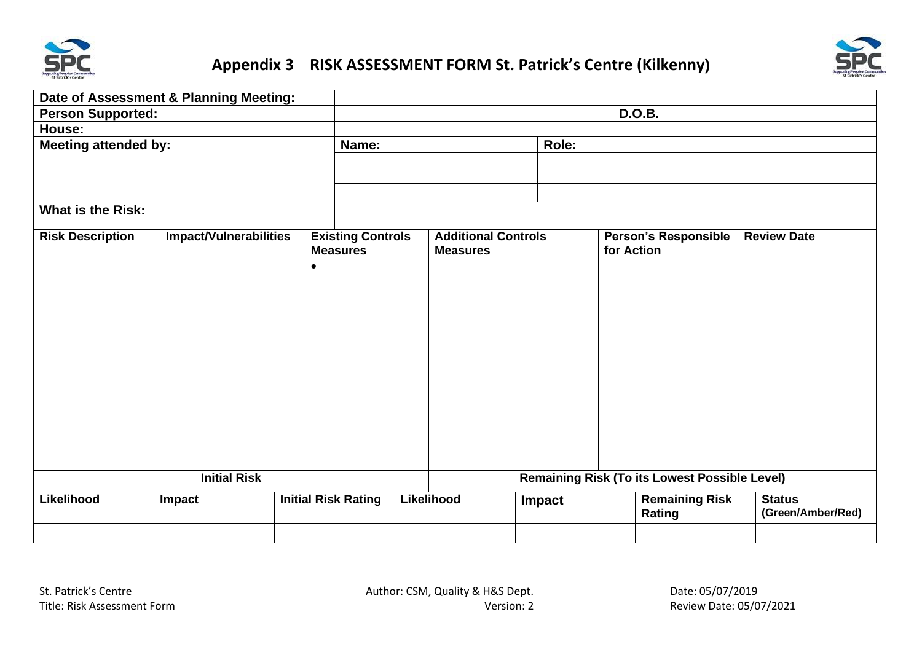![](_page_23_Picture_0.jpeg)

## <span id="page-23-0"></span>**Appendix 3 RISK ASSESSMENT FORM St. Patrick's Centre (Kilkenny)**

![](_page_23_Picture_2.jpeg)

|                                                                                  | Date of Assessment & Planning Meeting: |  |                                             |       |                                               |        |                                           |                                                                                         |                                    |
|----------------------------------------------------------------------------------|----------------------------------------|--|---------------------------------------------|-------|-----------------------------------------------|--------|-------------------------------------------|-----------------------------------------------------------------------------------------|------------------------------------|
| <b>Person Supported:</b>                                                         | <b>D.O.B.</b>                          |  |                                             |       |                                               |        |                                           |                                                                                         |                                    |
| House:                                                                           |                                        |  |                                             |       |                                               |        |                                           |                                                                                         |                                    |
| <b>Meeting attended by:</b>                                                      | Name:                                  |  |                                             | Role: |                                               |        |                                           |                                                                                         |                                    |
|                                                                                  |                                        |  |                                             |       |                                               |        |                                           |                                                                                         |                                    |
|                                                                                  |                                        |  |                                             |       |                                               |        |                                           |                                                                                         |                                    |
|                                                                                  |                                        |  |                                             |       |                                               |        |                                           |                                                                                         |                                    |
| <b>What is the Risk:</b>                                                         |                                        |  |                                             |       |                                               |        |                                           |                                                                                         |                                    |
| <b>Risk Description</b>                                                          | <b>Impact/Vulnerabilities</b>          |  | <b>Existing Controls</b><br><b>Measures</b> |       | <b>Additional Controls</b><br><b>Measures</b> |        | <b>Person's Responsible</b><br>for Action |                                                                                         | <b>Review Date</b>                 |
|                                                                                  |                                        |  |                                             |       |                                               |        |                                           |                                                                                         |                                    |
| <b>Initial Risk</b><br>Likelihood<br><b>Initial Risk Rating</b><br><b>Impact</b> |                                        |  |                                             |       | Likelihood                                    | Impact |                                           | <b>Remaining Risk (To its Lowest Possible Level)</b><br><b>Remaining Risk</b><br>Rating | <b>Status</b><br>(Green/Amber/Red) |
|                                                                                  |                                        |  |                                             |       |                                               |        |                                           |                                                                                         |                                    |